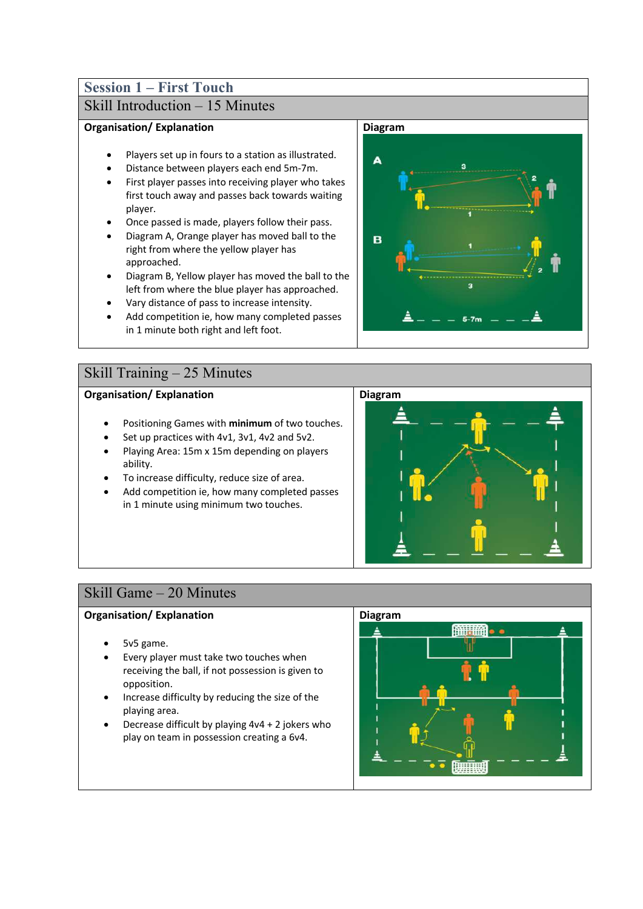## **Session 1 – First Touch**

## Skill Introduction – 15 Minutes

#### **Organisation/ Explanation**

- Players set up in fours to a station as illustrated.
- Distance between players each end 5m-7m.
- First player passes into receiving player who takes first touch away and passes back towards waiting player.
- Once passed is made, players follow their pass.
- Diagram A, Orange player has moved ball to the right from where the yellow player has approached.
- Diagram B, Yellow player has moved the ball to the left from where the blue player has approached.
- Vary distance of pass to increase intensity.
- Add competition ie, how many completed passes in 1 minute both right and left foot.

### Skill Training – 25 Minutes

#### **Organisation/ Explanation**

- Positioning Games with **minimum** of two touches.
- Set up practices with 4v1, 3v1, 4v2 and 5v2.
- Playing Area: 15m x 15m depending on players ability.
- To increase difficulty, reduce size of area.
- Add competition ie, how many completed passes in 1 minute using minimum two touches.



## Skill Game – 20 Minutes

- 5v5 game.
- Every player must take two touches when receiving the ball, if not possession is given to opposition.
- Increase difficulty by reducing the size of the playing area.
- Decrease difficult by playing  $4v4 + 2$  jokers who play on team in possession creating a 6v4.



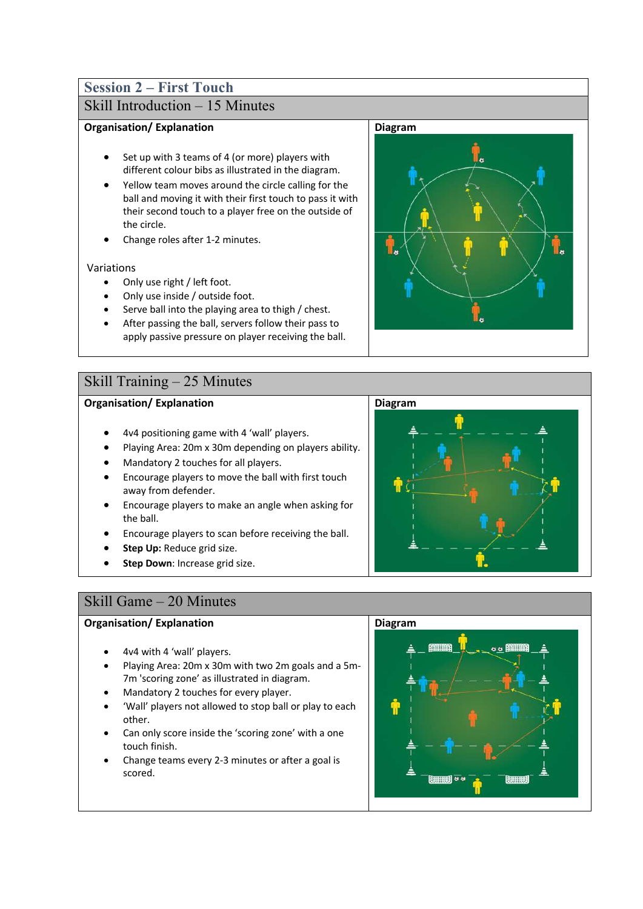# **Session 2 – First Touch**

### Skill Introduction – 15 Minutes

### **Organisation/ Explanation**

- Set up with 3 teams of 4 (or more) players with different colour bibs as illustrated in the diagram.
- Yellow team moves around the circle calling for the ball and moving it with their first touch to pass it with their second touch to a player free on the outside of the circle.
- Change roles after 1-2 minutes.

#### Variations

- Only use right / left foot.
- Only use inside / outside foot.
- Serve ball into the playing area to thigh / chest.
- After passing the ball, servers follow their pass to apply passive pressure on player receiving the ball.

### Skill Training – 25 Minutes

### **Organisation/ Explanation**

- 4v4 positioning game with 4 'wall' players.
- Playing Area: 20m x 30m depending on players ability.
- Mandatory 2 touches for all players.
- Encourage players to move the ball with first touch away from defender.
- Encourage players to make an angle when asking for the ball.
- Encourage players to scan before receiving the ball.
- **Step Up:** Reduce grid size.
- **Step Down: Increase grid size.**



### Skill Game – 20 Minutes

- 4v4 with 4 'wall' players.
- Playing Area: 20m x 30m with two 2m goals and a 5m-7m 'scoring zone' as illustrated in diagram.
- Mandatory 2 touches for every player.
- 'Wall' players not allowed to stop ball or play to each other.
- Can only score inside the 'scoring zone' with a one touch finish.
- Change teams every 2-3 minutes or after a goal is scored.



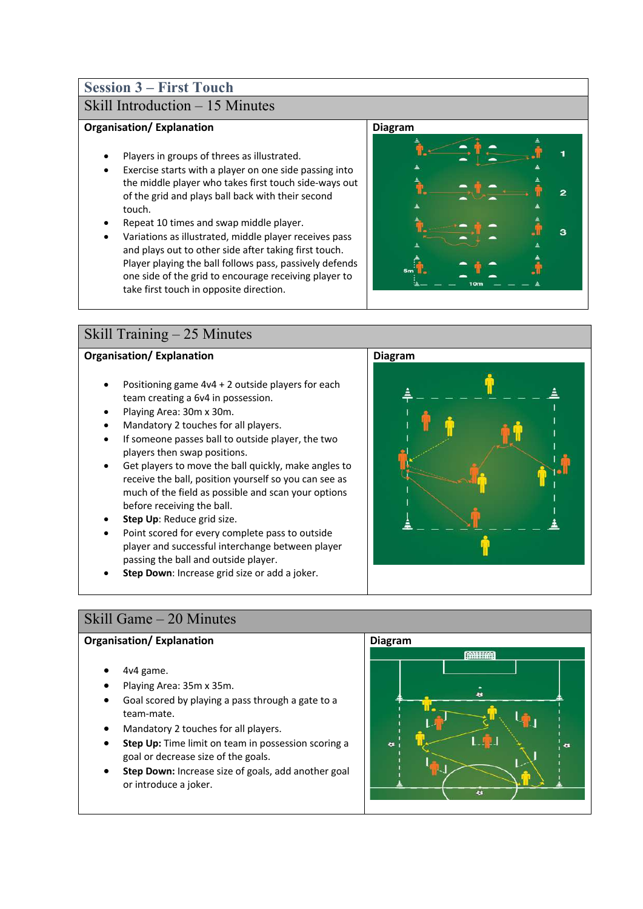# **Session 3 – First Touch**

## Skill Introduction – 15 Minutes

#### **Organisation/ Explanation**

- Players in groups of threes as illustrated.
- Exercise starts with a player on one side passing into the middle player who takes first touch side-ways out of the grid and plays ball back with their second touch.
- Repeat 10 times and swap middle player.
- Variations as illustrated, middle player receives pass and plays out to other side after taking first touch. Player playing the ball follows pass, passively defends one side of the grid to encourage receiving player to take first touch in opposite direction.



### Skill Training – 25 Minutes

### **Organisation/ Explanation**

- Positioning game 4v4 + 2 outside players for each team creating a 6v4 in possession.
- Playing Area: 30m x 30m.
- Mandatory 2 touches for all players.
- If someone passes ball to outside player, the two players then swap positions.
- Get players to move the ball quickly, make angles to receive the ball, position yourself so you can see as much of the field as possible and scan your options before receiving the ball.
- **Step Up**: Reduce grid size.
- Point scored for every complete pass to outside player and successful interchange between player passing the ball and outside player.
- **Step Down**: Increase grid size or add a joker.



### Skill Game – 20 Minutes

- 4v4 game.
- Playing Area: 35m x 35m.
- Goal scored by playing a pass through a gate to a team-mate.
- Mandatory 2 touches for all players.
- **Step Up:** Time limit on team in possession scoring a goal or decrease size of the goals.
- **Step Down:** Increase size of goals, add another goal or introduce a joker.

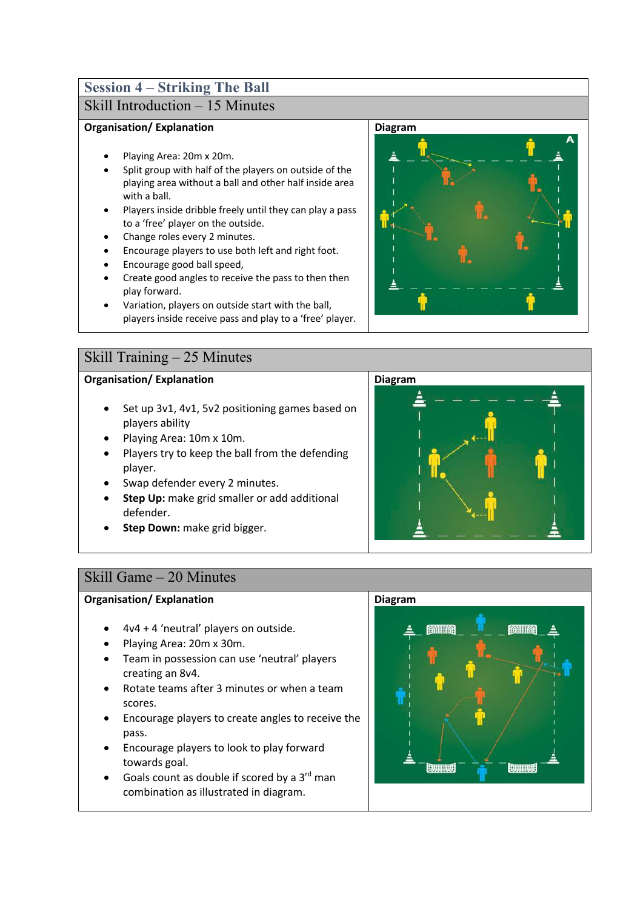# **Session 4 – Striking The Ball**

## Skill Introduction – 15 Minutes

### **Organisation/ Explanation**

- Playing Area: 20m x 20m.
- Split group with half of the players on outside of the playing area without a ball and other half inside area with a ball.
- Players inside dribble freely until they can play a pass to a 'free' player on the outside.
- Change roles every 2 minutes.
- Encourage players to use both left and right foot.
- Encourage good ball speed,
- Create good angles to receive the pass to then then play forward.
- Variation, players on outside start with the ball, players inside receive pass and play to a 'free' player.

### Skill Training – 25 Minutes

### **Organisation/ Explanation**

- Set up 3v1, 4v1, 5v2 positioning games based on players ability
- Playing Area: 10m x 10m.
- Players try to keep the ball from the defending player.
- Swap defender every 2 minutes.
- **Step Up:** make grid smaller or add additional defender.
- **Step Down:** make grid bigger.





### Skill Game – 20 Minutes

- 4v4 + 4 'neutral' players on outside.
- Playing Area: 20m x 30m.
- Team in possession can use 'neutral' players creating an 8v4.
- Rotate teams after 3 minutes or when a team scores.
- Encourage players to create angles to receive the pass.
- Encourage players to look to play forward towards goal.
- Goals count as double if scored by a 3<sup>rd</sup> man combination as illustrated in diagram.

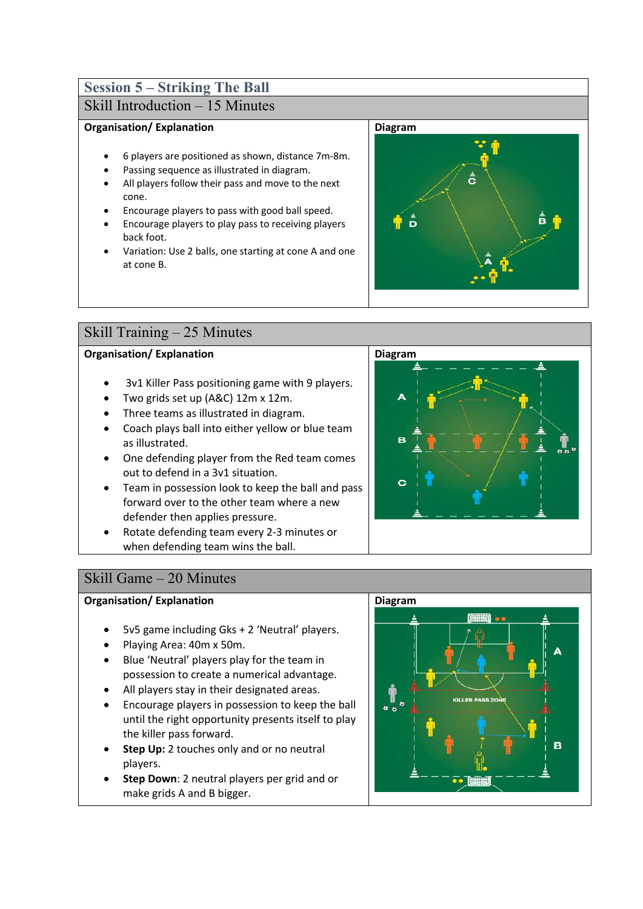# **Session 5 – Striking The Ball**

## Skill Introduction – 15 Minutes

### **Organisation/ Explanation**

- 6 players are positioned as shown, distance 7m-8m.
- Passing sequence as illustrated in diagram.
- All players follow their pass and move to the next cone.
- Encourage players to pass with good ball speed.
- Encourage players to play pass to receiving players back foot.
- Variation: Use 2 balls, one starting at cone A and one at cone B.



## Skill Training – 25 Minutes

### **Organisation/ Explanation**

- 3v1 Killer Pass positioning game with 9 players.
- Two grids set up (A&C) 12m x 12m.
- Three teams as illustrated in diagram.
- Coach plays ball into either yellow or blue team as illustrated.
- One defending player from the Red team comes out to defend in a 3v1 situation.
- Team in possession look to keep the ball and pass forward over to the other team where a new defender then applies pressure.
- Rotate defending team every 2-3 minutes or when defending team wins the ball.



### Skill Game – 20 Minutes

- 5v5 game including Gks + 2 'Neutral' players.
- Playing Area: 40m x 50m.
- Blue 'Neutral' players play for the team in possession to create a numerical advantage.
- All players stay in their designated areas.
- Encourage players in possession to keep the ball until the right opportunity presents itself to play the killer pass forward.
- **Step Up:** 2 touches only and or no neutral players.
- **Step Down**: 2 neutral players per grid and or make grids A and B bigger.

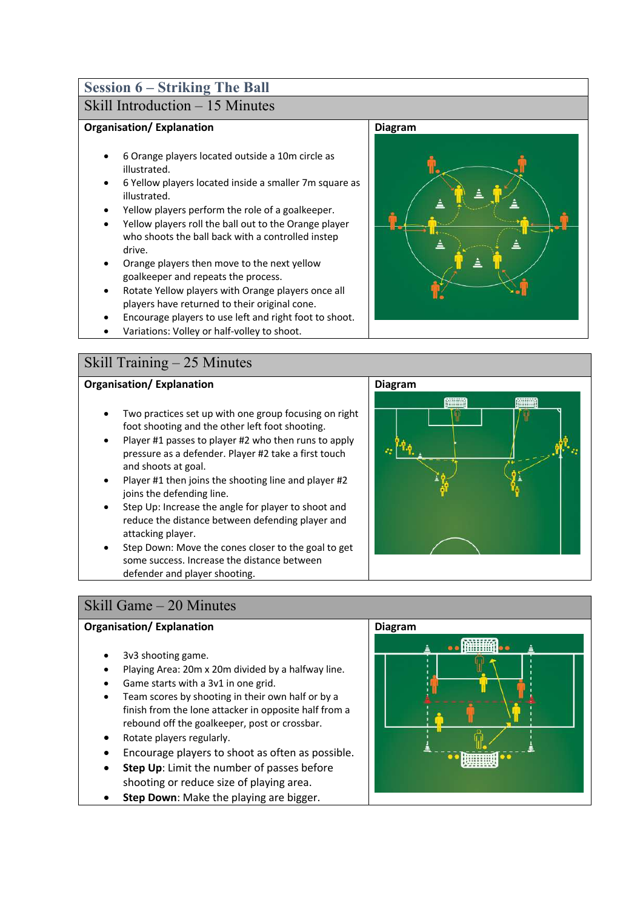# **Session 6 – Striking The Ball**

# Skill Introduction – 15 Minutes

### **Organisation/ Explanation**

- 6 Orange players located outside a 10m circle as illustrated.
- 6 Yellow players located inside a smaller 7m square as illustrated.
- Yellow players perform the role of a goalkeeper.
- Yellow players roll the ball out to the Orange player who shoots the ball back with a controlled instep drive.
- Orange players then move to the next yellow goalkeeper and repeats the process.
- Rotate Yellow players with Orange players once all players have returned to their original cone.
- Encourage players to use left and right foot to shoot.
- Variations: Volley or half-volley to shoot.

# Skill Training – 25 Minutes

### **Organisation/ Explanation**

- Two practices set up with one group focusing on right foot shooting and the other left foot shooting.
- Player #1 passes to player #2 who then runs to apply pressure as a defender. Player #2 take a first touch and shoots at goal.
- Player #1 then joins the shooting line and player #2 joins the defending line.
- Step Up: Increase the angle for player to shoot and reduce the distance between defending player and attacking player.
- Step Down: Move the cones closer to the goal to get some success. Increase the distance between defender and player shooting.

# Skill Game – 20 Minutes

### **Organisation/ Explanation**

- 3v3 shooting game.
- Playing Area: 20m x 20m divided by a halfway line.
- Game starts with a 3v1 in one grid.
- Team scores by shooting in their own half or by a finish from the lone attacker in opposite half from a rebound off the goalkeeper, post or crossbar.
- Rotate players regularly.
- Encourage players to shoot as often as possible.
- **Step Up**: Limit the number of passes before shooting or reduce size of playing area.
- **Step Down:** Make the playing are bigger.





**Diagram**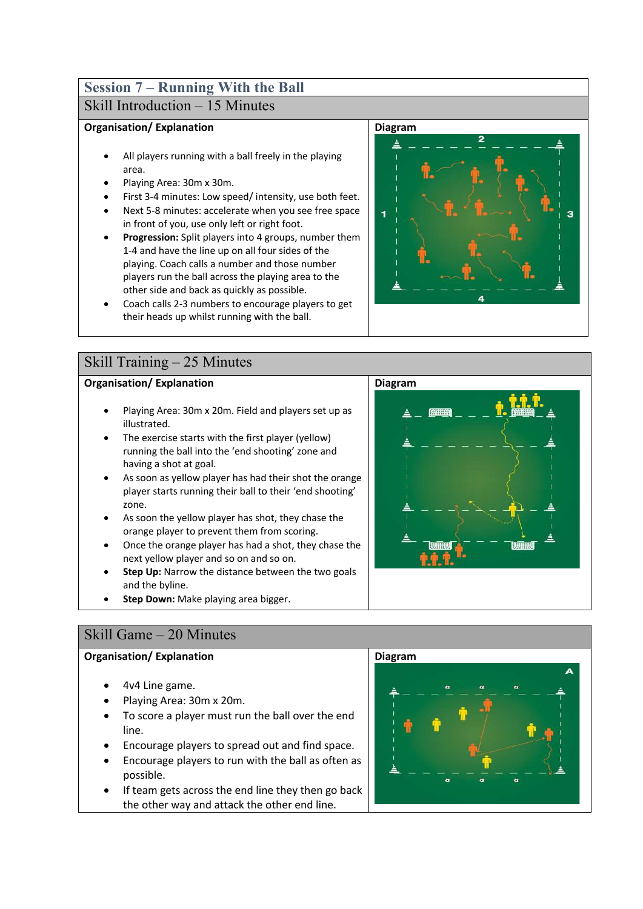### **Session 7 – Running With the Ball** Skill Introduction – 15 Minutes

#### **Organisation/ Explanation**

- All players running with a ball freely in the playing area.
- Playing Area: 30m x 30m.
- First 3-4 minutes: Low speed/ intensity, use both feet.
- Next 5-8 minutes: accelerate when you see free space in front of you, use only left or right foot.
- **Progression:** Split players into 4 groups, number them 1-4 and have the line up on all four sides of the playing. Coach calls a number and those number players run the ball across the playing area to the other side and back as quickly as possible.
- Coach calls 2-3 numbers to encourage players to get their heads up whilst running with the ball.



### **Organisation/ Explanation**

- Playing Area: 30m x 20m. Field and players set up as illustrated.
- The exercise starts with the first player (yellow) running the ball into the 'end shooting' zone and having a shot at goal.
- As soon as yellow player has had their shot the orange player starts running their ball to their 'end shooting' zone.
- As soon the yellow player has shot, they chase the orange player to prevent them from scoring.
- Once the orange player has had a shot, they chase the next yellow player and so on and so on.
- **Step Up:** Narrow the distance between the two goals and the byline.
- **Step Down:** Make playing area bigger.



### **Organisation/ Explanation**

- 4v4 Line game.
- Playing Area: 30m x 20m.
- To score a player must run the ball over the end line.
- Encourage players to spread out and find space.
- Encourage players to run with the ball as often as possible.
- If team gets across the end line they then go back the other way and attack the other end line.





**Diagram**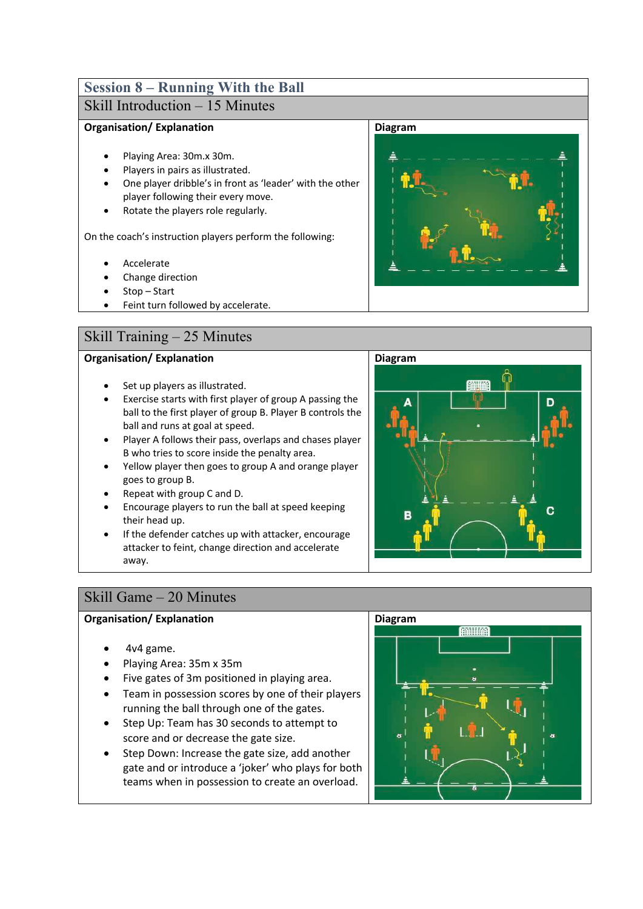# **Session 8 – Running With the Ball**

# Skill Introduction – 15 Minutes

### **Organisation/ Explanation**

- Playing Area: 30m.x 30m.
- Players in pairs as illustrated.
- One player dribble's in front as 'leader' with the other player following their every move.
- Rotate the players role regularly.

On the coach's instruction players perform the following:

- **Accelerate**
- Change direction
- Stop Start
- Feint turn followed by accelerate.

# Skill Training – 25 Minutes

### **Organisation/ Explanation**

- Set up players as illustrated.
- Exercise starts with first player of group A passing the ball to the first player of group B. Player B controls the ball and runs at goal at speed.
- Player A follows their pass, overlaps and chases player B who tries to score inside the penalty area.
- Yellow player then goes to group A and orange player goes to group B.
- Repeat with group C and D.
- Encourage players to run the ball at speed keeping their head up.
- If the defender catches up with attacker, encourage attacker to feint, change direction and accelerate away.







### Skill Game – 20 Minutes

- 4v4 game.
- Playing Area: 35m x 35m
- Five gates of 3m positioned in playing area.
- Team in possession scores by one of their players running the ball through one of the gates.
- Step Up: Team has 30 seconds to attempt to score and or decrease the gate size.
- Step Down: Increase the gate size, add another gate and or introduce a 'joker' who plays for both teams when in possession to create an overload.

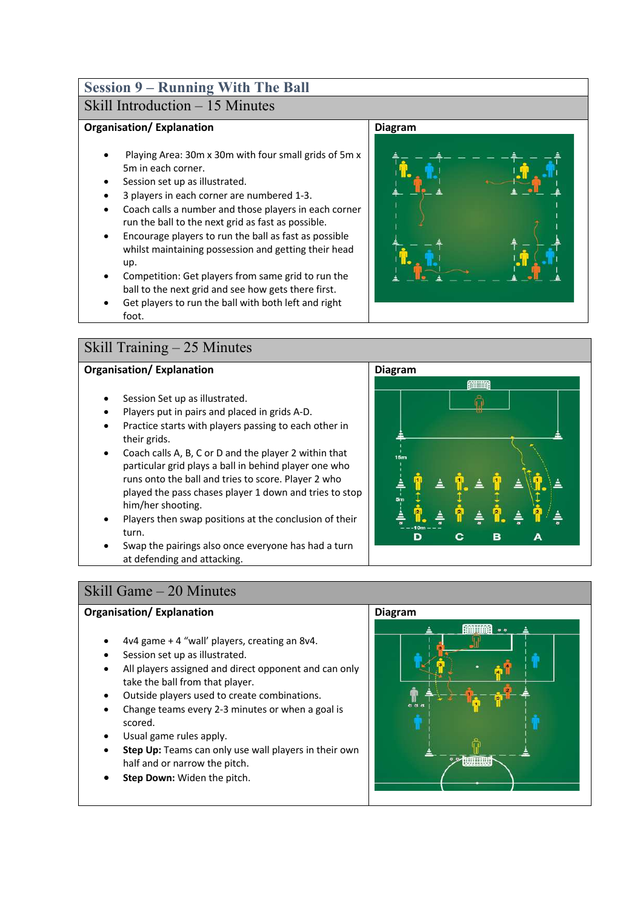### **Session 9 – Running With The Ball** Skill Introduction – 15 Minutes

### **Organisation/ Explanation**

- Playing Area: 30m x 30m with four small grids of 5m x 5m in each corner.
- Session set up as illustrated.
- 3 players in each corner are numbered 1-3.
- Coach calls a number and those players in each corner run the ball to the next grid as fast as possible.
- Encourage players to run the ball as fast as possible whilst maintaining possession and getting their head up.
- Competition: Get players from same grid to run the ball to the next grid and see how gets there first.
- Get players to run the ball with both left and right foot.

### Skill Training – 25 Minutes

### **Organisation/ Explanation**

- Session Set up as illustrated.
- Players put in pairs and placed in grids A-D.
- Practice starts with players passing to each other in their grids.
- Coach calls A, B, C or D and the player 2 within that particular grid plays a ball in behind player one who runs onto the ball and tries to score. Player 2 who played the pass chases player 1 down and tries to stop him/her shooting.
- Players then swap positions at the conclusion of their turn.
- Swap the pairings also once everyone has had a turn at defending and attacking.



### **Organisation/ Explanation**

- 4v4 game + 4 "wall' players, creating an 8v4.
- Session set up as illustrated.
- All players assigned and direct opponent and can only take the ball from that player.
- Outside players used to create combinations.
- Change teams every 2-3 minutes or when a goal is scored.
- Usual game rules apply.
- **Step Up:** Teams can only use wall players in their own half and or narrow the pitch.
- **Step Down: Widen the pitch.**



**Diagram**



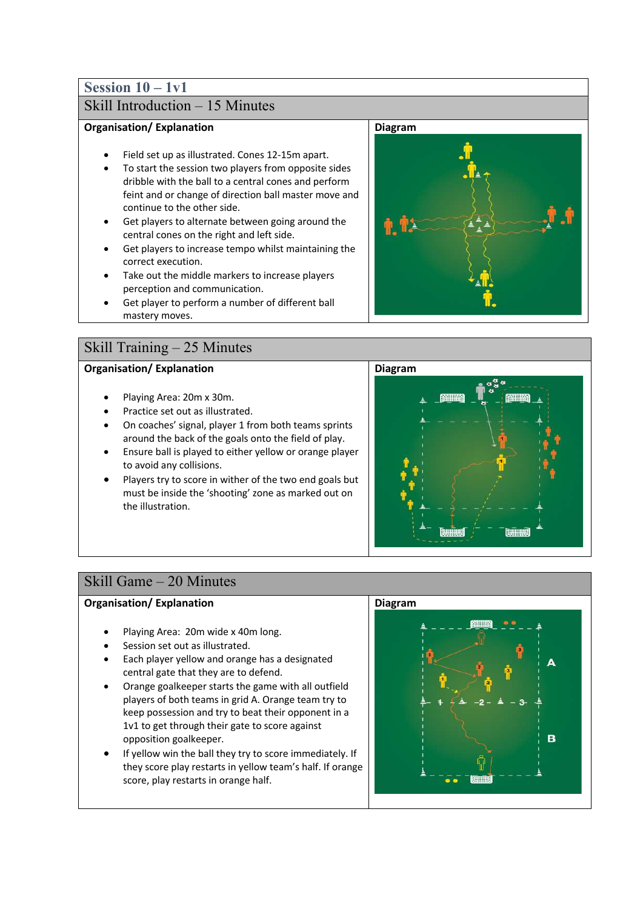# **Session 10 – 1v1**

# Skill Introduction – 15 Minutes

#### **Organisation/ Explanation**

- Field set up as illustrated. Cones 12-15m apart.
- To start the session two players from opposite sides dribble with the ball to a central cones and perform feint and or change of direction ball master move and continue to the other side.
- Get players to alternate between going around the central cones on the right and left side.
- Get players to increase tempo whilst maintaining the correct execution.
- Take out the middle markers to increase players perception and communication.
- Get player to perform a number of different ball mastery moves.

### Skill Training – 25 Minutes

### **Organisation/ Explanation**

- Playing Area: 20m x 30m.
- Practice set out as illustrated.
- On coaches' signal, player 1 from both teams sprints around the back of the goals onto the field of play.
- Ensure ball is played to either yellow or orange player to avoid any collisions.
- Players try to score in wither of the two end goals but must be inside the 'shooting' zone as marked out on the illustration.





### Skill Game – 20 Minutes

- Playing Area: 20m wide x 40m long.
- Session set out as illustrated.
- Each player yellow and orange has a designated central gate that they are to defend.
- Orange goalkeeper starts the game with all outfield players of both teams in grid A. Orange team try to keep possession and try to beat their opponent in a 1v1 to get through their gate to score against opposition goalkeeper.
- If yellow win the ball they try to score immediately. If they score play restarts in yellow team's half. If orange score, play restarts in orange half.

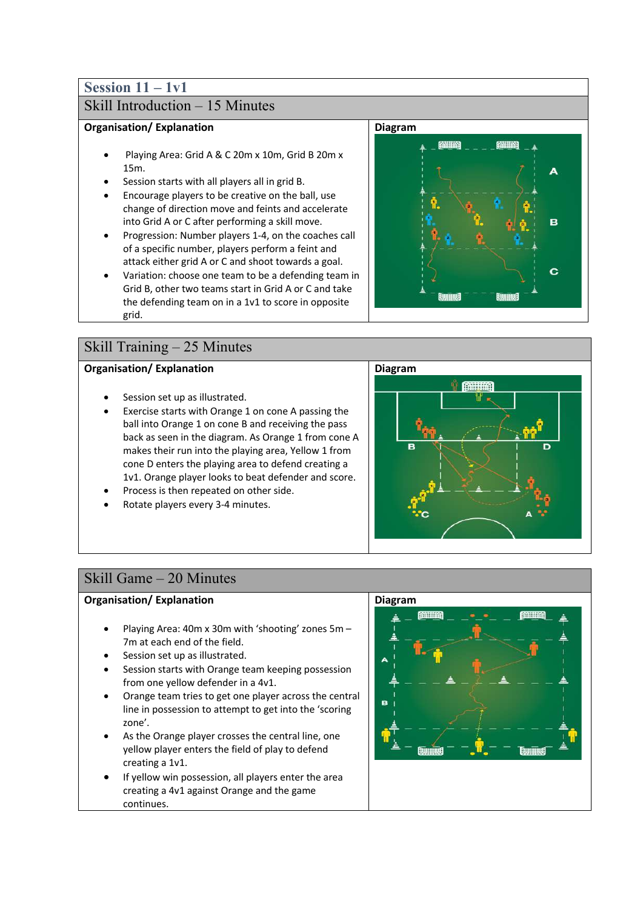# **Session 11 – 1v1**

# Skill Introduction – 15 Minutes

### **Organisation/ Explanation**

- Playing Area: Grid A & C 20m x 10m, Grid B 20m x 15m.
- Session starts with all players all in grid B.
- Encourage players to be creative on the ball, use change of direction move and feints and accelerate into Grid A or C after performing a skill move.
- Progression: Number players 1-4, on the coaches call of a specific number, players perform a feint and attack either grid A or C and shoot towards a goal.
- Variation: choose one team to be a defending team in Grid B, other two teams start in Grid A or C and take the defending team on in a 1v1 to score in opposite grid.

## Skill Training – 25 Minutes

### **Organisation/ Explanation**

- Session set up as illustrated.
- Exercise starts with Orange 1 on cone A passing the ball into Orange 1 on cone B and receiving the pass back as seen in the diagram. As Orange 1 from cone A makes their run into the playing area, Yellow 1 from cone D enters the playing area to defend creating a 1v1. Orange player looks to beat defender and score.
- Process is then repeated on other side.
- Rotate players every 3-4 minutes.





### Skill Game – 20 Minutes

- Playing Area: 40m x 30m with 'shooting' zones 5m 7m at each end of the field.
- Session set up as illustrated.
- Session starts with Orange team keeping possession from one yellow defender in a 4v1.
- Orange team tries to get one player across the central line in possession to attempt to get into the 'scoring zone'.
- As the Orange player crosses the central line, one yellow player enters the field of play to defend creating a 1v1.
- If yellow win possession, all players enter the area creating a 4v1 against Orange and the game continues.